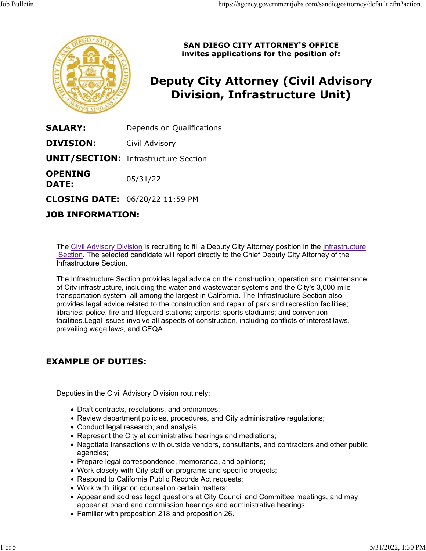

SAN DIEGO CITY ATTORNEY'S OFFICE invites applications for the position of:

# Deputy City Attorney (Civil Advisory Division, Infrastructure Unit)

**SALARY:** Depends on Qualifications

**DIVISION:** Civil Advisory

UNIT/SECTION: Infrastructure Section

**OPENING**  $05/31/22$ **DATE:** 05/31/22

CLOSING DATE: 06/20/22 11:59 PM

## JOB INFORMATION:

The Civil Advisory Division is recruiting to fill a Deputy City Attorney position in the Infrastructure Section. The selected candidate will report directly to the Chief Deputy City Attorney of the Infrastructure Section.

The Infrastructure Section provides legal advice on the construction, operation and maintenance of City infrastructure, including the water and wastewater systems and the City's 3,000-mile transportation system, all among the largest in California. The Infrastructure Section also provides legal advice related to the construction and repair of park and recreation facilities; libraries; police, fire and lifeguard stations; airports; sports stadiums; and convention facilities.Legal issues involve all aspects of construction, including conflicts of interest laws, prevailing wage laws, and CEQA.

## EXAMPLE OF DUTIES:

Deputies in the Civil Advisory Division routinely:

- Draft contracts, resolutions, and ordinances;
- Review department policies, procedures, and City administrative regulations;
- Conduct legal research, and analysis;
- Represent the City at administrative hearings and mediations;
- Negotiate transactions with outside vendors, consultants, and contractors and other public agencies;
- Prepare legal correspondence, memoranda, and opinions;
- Work closely with City staff on programs and specific projects;
- Respond to California Public Records Act requests;
- Work with litigation counsel on certain matters;
- Appear and address legal questions at City Council and Committee meetings, and may appear at board and commission hearings and administrative hearings.
- Familiar with proposition 218 and proposition 26.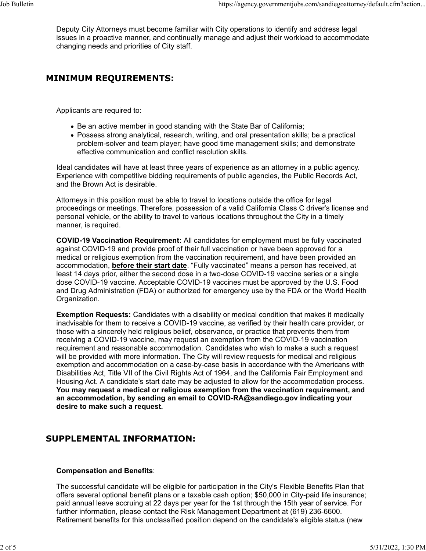Deputy City Attorneys must become familiar with City operations to identify and address legal issues in a proactive manner, and continually manage and adjust their workload to accommodate changing needs and priorities of City staff. Job Bulletin<br>Deputy City Attorneys must become familiar with City operations to identify and address legal<br>issues in a proactive manner, and continually manage and adjust their workload to accommodate<br>changing needs and pr

# MINIMUM REQUIREMENTS:

Applicants are required to:

- Be an active member in good standing with the State Bar of California;
- Possess strong analytical, research, writing, and oral presentation skills; be a practical problem-solver and team player; have good time management skills; and demonstrate effective communication and conflict resolution skills.

Ideal candidates will have at least three years of experience as an attorney in a public agency. Experience with competitive bidding requirements of public agencies, the Public Records Act, and the Brown Act is desirable.

Attorneys in this position must be able to travel to locations outside the office for legal proceedings or meetings. Therefore, possession of a valid California Class C driver's license and personal vehicle, or the ability to travel to various locations throughout the City in a timely manner, is required.

COVID-19 Vaccination Requirement: All candidates for employment must be fully vaccinated against COVID-19 and provide proof of their full vaccination or have been approved for a medical or religious exemption from the vaccination requirement, and have been provided an accommodation, before their start date. "Fully vaccinated" means a person has received, at least 14 days prior, either the second dose in a two-dose COVID-19 vaccine series or a single dose COVID-19 vaccine. Acceptable COVID-19 vaccines must be approved by the U.S. Food and Drug Administration (FDA) or authorized for emergency use by the FDA or the World Health Organization.

Exemption Requests: Candidates with a disability or medical condition that makes it medically inadvisable for them to receive a COVID-19 vaccine, as verified by their health care provider, or those with a sincerely held religious belief, observance, or practice that prevents them from receiving a COVID-19 vaccine, may request an exemption from the COVID-19 vaccination requirement and reasonable accommodation. Candidates who wish to make a such a request will be provided with more information. The City will review requests for medical and religious exemption and accommodation on a case-by-case basis in accordance with the Americans with Disabilities Act, Title VII of the Civil Rights Act of 1964, and the California Fair Employment and Housing Act. A candidate's start date may be adjusted to allow for the accommodation process. You may request a medical or religious exemption from the vaccination requirement, and an accommodation, by sending an email to COVID-RA@sandiego.gov indicating your desire to make such a request.

## SUPPLEMENTAL INFORMATION:

#### Compensation and Benefits:

The successful candidate will be eligible for participation in the City's Flexible Benefits Plan that offers several optional benefit plans or a taxable cash option; \$50,000 in City-paid life insurance; paid annual leave accruing at 22 days per year for the 1st through the 15th year of service. For further information, please contact the Risk Management Department at (619) 236-6600. Retirement benefits for this unclassified position depend on the candidate's eligible status (new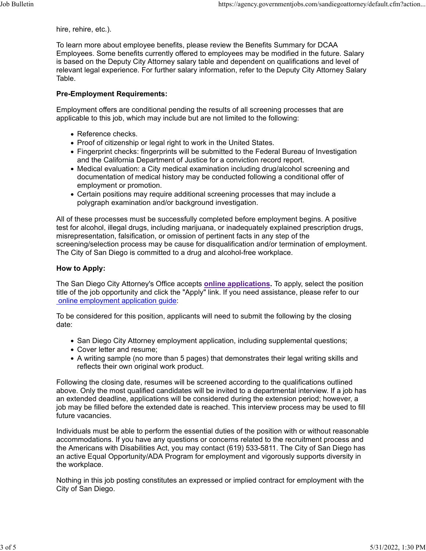hire, rehire, etc.).

To learn more about employee benefits, please review the Benefits Summary for DCAA Employees. Some benefits currently offered to employees may be modified in the future. Salary is based on the Deputy City Attorney salary table and dependent on qualifications and level of relevant legal experience. For further salary information, refer to the Deputy City Attorney Salary Table. Job Bulletin<br>https://agency.governmentjobs.com/sandiegoattorney/default.cfm?action...<br>hire, rehire, etc.).<br>To learn more about employee benefits, please review the Benefits Summary for DCAA

#### Pre-Employment Requirements:

Employment offers are conditional pending the results of all screening processes that are applicable to this job, which may include but are not limited to the following:

- Reference checks.
- Proof of citizenship or legal right to work in the United States.
- Fingerprint checks: fingerprints will be submitted to the Federal Bureau of Investigation and the California Department of Justice for a conviction record report.
- Medical evaluation: a City medical examination including drug/alcohol screening and documentation of medical history may be conducted following a conditional offer of employment or promotion.
- Certain positions may require additional screening processes that may include a polygraph examination and/or background investigation.

All of these processes must be successfully completed before employment begins. A positive test for alcohol, illegal drugs, including marijuana, or inadequately explained prescription drugs, misrepresentation, falsification, or omission of pertinent facts in any step of the screening/selection process may be cause for disqualification and/or termination of employment. The City of San Diego is committed to a drug and alcohol-free workplace.

#### How to Apply:

The San Diego City Attorney's Office accepts online applications. To apply, select the position title of the job opportunity and click the "Apply" link. If you need assistance, please refer to our online employment application guide:

To be considered for this position, applicants will need to submit the following by the closing date:

- San Diego City Attorney employment application, including supplemental questions;
- Cover letter and resume;
- A writing sample (no more than 5 pages) that demonstrates their legal writing skills and reflects their own original work product.

Following the closing date, resumes will be screened according to the qualifications outlined above. Only the most qualified candidates will be invited to a departmental interview. If a job has an extended deadline, applications will be considered during the extension period; however, a job may be filled before the extended date is reached. This interview process may be used to fill future vacancies.

Individuals must be able to perform the essential duties of the position with or without reasonable accommodations. If you have any questions or concerns related to the recruitment process and the Americans with Disabilities Act, you may contact (619) 533-5811. The City of San Diego has an active Equal Opportunity/ADA Program for employment and vigorously supports diversity in the workplace.

Nothing in this job posting constitutes an expressed or implied contract for employment with the City of San Diego.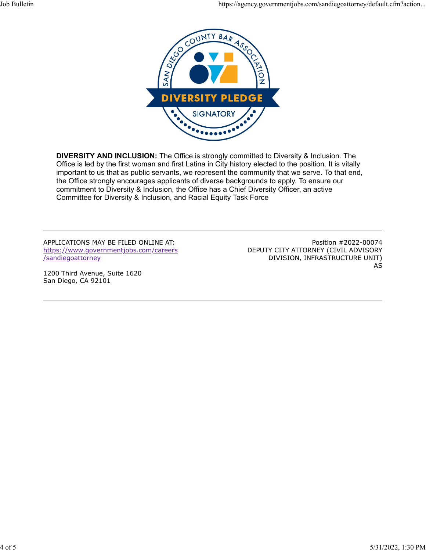

DIVERSITY AND INCLUSION: The Office is strongly committed to Diversity & Inclusion. The Office is led by the first woman and first Latina in City history elected to the position. It is vitally important to us that as public servants, we represent the community that we serve. To that end, the Office strongly encourages applicants of diverse backgrounds to apply. To ensure our commitment to Diversity & Inclusion, the Office has a Chief Diversity Officer, an active Committee for Diversity & Inclusion, and Racial Equity Task Force

APPLICATIONS MAY BE FILED ONLINE AT: https://www.governmentjobs.com/careers /sandiegoattorney

1200 Third Avenue, Suite 1620 San Diego, CA 92101

Position #2022-00074 DEPUTY CITY ATTORNEY (CIVIL ADVISORY DIVISION, INFRASTRUCTURE UNIT) AS